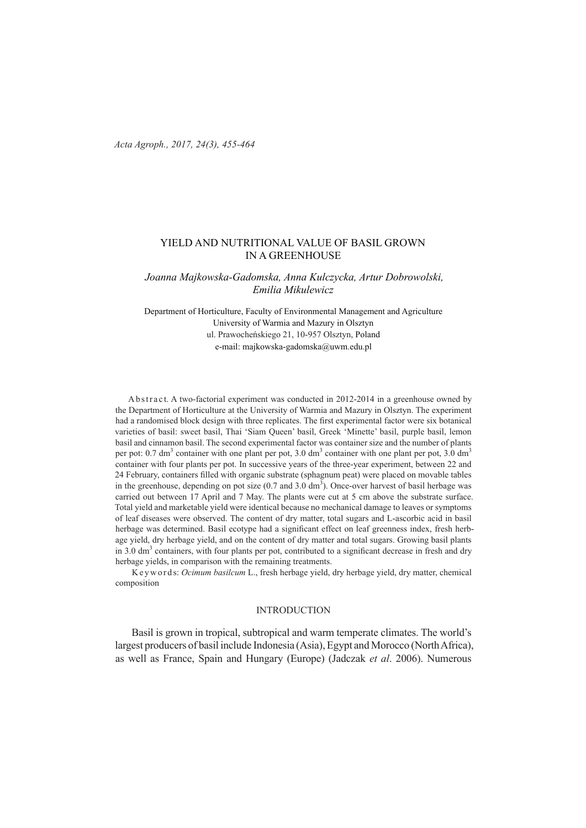*Acta Agroph., 2017, 24(3), 455-464* 

### YIELD AND NUTRITIONAL VALUE OF BASIL GROWN IN A GREENHOUSE

## *Joanna Majkowska-Gadomska, Anna Kulczycka, Artur Dobrowolski, Emilia Mikulewicz*

Department of Horticulture, Faculty of Environmental Management and Agriculture University of Warmia and Mazury in Olsztyn ul. Prawocheńskiego 21, 10-957 Olsztyn, Poland e-mail: majkowska-gadomska@uwm.edu.pl

A b s tract. A two-factorial experiment was conducted in 2012-2014 in a greenhouse owned by the Department of Horticulture at the University of Warmia and Mazury in Olsztyn. The experiment had a randomised block design with three replicates. The first experimental factor were six botanical varieties of basil: sweet basil, Thai 'Siam Queen' basil, Greek 'Minette' basil, purple basil, lemon basil and cinnamon basil. The second experimental factor was container size and the number of plants per pot: 0.7 dm<sup>3</sup> container with one plant per pot, 3.0 dm<sup>3</sup> container with one plant per pot, 3.0 dm<sup>3</sup> container with four plants per pot. In successive years of the three-year experiment, between 22 and 24 February, containers filled with organic substrate (sphagnum peat) were placed on movable tables in the greenhouse, depending on pot size  $(0.7 \text{ and } 3.0 \text{ dm}^3)$ . Once-over harvest of basil herbage was carried out between 17 April and 7 May. The plants were cut at 5 cm above the substrate surface. Total yield and marketable yield were identical because no mechanical damage to leaves or symptoms of leaf diseases were observed. The content of dry matter, total sugars and L-ascorbic acid in basil herbage was determined. Basil ecotype had a significant effect on leaf greenness index, fresh herbage yield, dry herbage yield, and on the content of dry matter and total sugars. Growing basil plants in 3.0  $\text{dm}^3$  containers, with four plants per pot, contributed to a significant decrease in fresh and dry herbage yields, in comparison with the remaining treatments.

K e y w o r d s: *Ocimum basilcum* L., fresh herbage yield, dry herbage yield, dry matter, chemical composition

### **INTRODUCTION**

Basil is grown in tropical, subtropical and warm temperate climates. The world's largest producers of basil include Indonesia (Asia), Egypt and Morocco (North Africa), as well as France, Spain and Hungary (Europe) (Jadczak *et al*. 2006). Numerous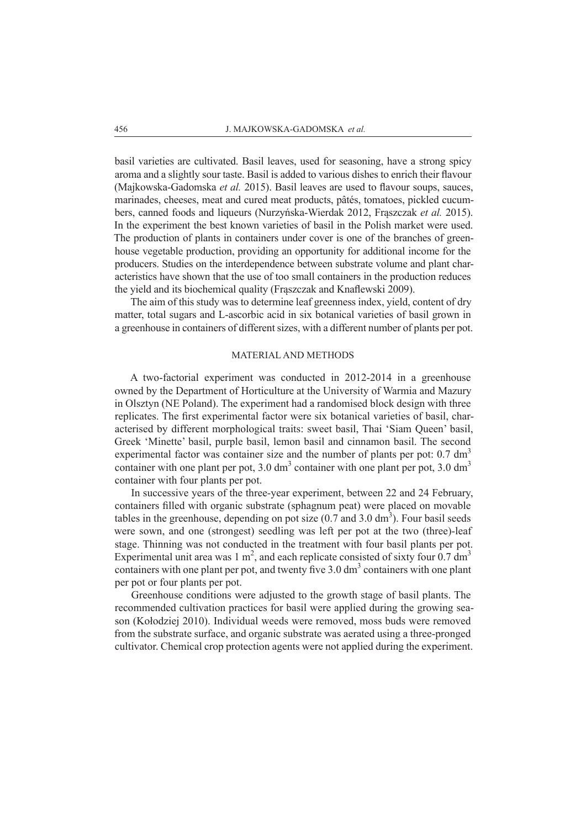basil varieties are cultivated. Basil leaves, used for seasoning, have a strong spicy aroma and a slightly sour taste. Basil is added to various dishes to enrich their flavour (Majkowska-Gadomska *et al.* 2015). Basil leaves are used to flavour soups, sauces, marinades, cheeses, meat and cured meat products, pâtés, tomatoes, pickled cucumbers, canned foods and liqueurs (Nurzyńska-Wierdak 2012, Frąszczak *et al.* 2015). In the experiment the best known varieties of basil in the Polish market were used. The production of plants in containers under cover is one of the branches of greenhouse vegetable production, providing an opportunity for additional income for the producers. Studies on the interdependence between substrate volume and plant characteristics have shown that the use of too small containers in the production reduces the yield and its biochemical quality (Frąszczak and Knaflewski 2009).

The aim of this study was to determine leaf greenness index, yield, content of dry matter, total sugars and L-ascorbic acid in six botanical varieties of basil grown in a greenhouse in containers of different sizes, with a different number of plants per pot.

#### MATERIAL AND METHODS

A two-factorial experiment was conducted in 2012-2014 in a greenhouse owned by the Department of Horticulture at the University of Warmia and Mazury in Olsztyn (NE Poland). The experiment had a randomised block design with three replicates. The first experimental factor were six botanical varieties of basil, characterised by different morphological traits: sweet basil, Thai 'Siam Queen' basil, Greek 'Minette' basil, purple basil, lemon basil and cinnamon basil. The second experimental factor was container size and the number of plants per pot:  $0.7 \text{ dm}^3$ container with one plant per pot,  $3.0 \text{ dm}^3$  container with one plant per pot,  $3.0 \text{ dm}^3$ container with four plants per pot.

In successive years of the three-year experiment, between 22 and 24 February, containers filled with organic substrate (sphagnum peat) were placed on movable tables in the greenhouse, depending on pot size  $(0.7 \text{ and } 3.0 \text{ dm}^3)$ . Four basil seeds were sown, and one (strongest) seedling was left per pot at the two (three)-leaf stage. Thinning was not conducted in the treatment with four basil plants per pot. Experimental unit area was 1 m<sup>2</sup>, and each replicate consisted of sixty four 0.7 dm<sup>3</sup> containers with one plant per pot, and twenty five  $3.0 \text{ dm}^3$  containers with one plant per pot or four plants per pot.

Greenhouse conditions were adjusted to the growth stage of basil plants. The recommended cultivation practices for basil were applied during the growing season (Kołodziej 2010). Individual weeds were removed, moss buds were removed from the substrate surface, and organic substrate was aerated using a three-pronged cultivator. Chemical crop protection agents were not applied during the experiment.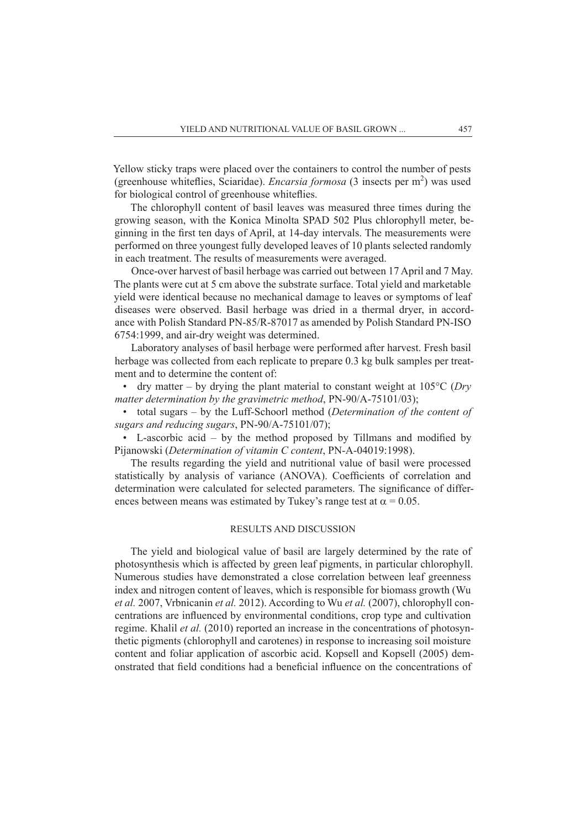Yellow sticky traps were placed over the containers to control the number of pests (greenhouse whiteflies, Sciaridae). *Encarsia formosa* (3 insects per m<sup>2</sup>) was used for biological control of greenhouse whiteflies.

The chlorophyll content of basil leaves was measured three times during the growing season, with the Konica Minolta SPAD 502 Plus chlorophyll meter, beginning in the first ten days of April, at 14-day intervals. The measurements were performed on three youngest fully developed leaves of 10 plants selected randomly in each treatment. The results of measurements were averaged.

Once-over harvest of basil herbage was carried out between 17 April and 7 May. The plants were cut at 5 cm above the substrate surface. Total yield and marketable yield were identical because no mechanical damage to leaves or symptoms of leaf diseases were observed. Basil herbage was dried in a thermal dryer, in accordance with Polish Standard PN-85/R-87017 as amended by Polish Standard PN-ISO 6754:1999, and air-dry weight was determined.

Laboratory analyses of basil herbage were performed after harvest. Fresh basil herbage was collected from each replicate to prepare 0.3 kg bulk samples per treatment and to determine the content of:

• dry matter – by drying the plant material to constant weight at  $105^{\circ}$ C (*Dry matter determination by the gravimetric method*, PN-90/A-75101/03);

• total sugars – by the Luff-Schoorl method (*Determination of the content of sugars and reducing sugars*, PN-90/A-75101/07);

• L-ascorbic acid – by the method proposed by Tillmans and modified by Pijanowski (*Determination of vitamin C content*, PN-A-04019:1998).

The results regarding the yield and nutritional value of basil were processed statistically by analysis of variance (ANOVA). Coefficients of correlation and determination were calculated for selected parameters. The significance of differences between means was estimated by Tukey's range test at  $\alpha = 0.05$ .

### RESULTS AND DISCUSSION

The yield and biological value of basil are largely determined by the rate of photosynthesis which is affected by green leaf pigments, in particular chlorophyll. Numerous studies have demonstrated a close correlation between leaf greenness index and nitrogen content of leaves, which is responsible for biomass growth (Wu *et al.* 2007, Vrbnicanin *et al.* 2012). According to Wu *et al.* (2007), chlorophyll concentrations are influenced by environmental conditions, crop type and cultivation regime. Khalil *et al.* (2010) reported an increase in the concentrations of photosynthetic pigments (chlorophyll and carotenes) in response to increasing soil moisture content and foliar application of ascorbic acid. Kopsell and Kopsell (2005) demonstrated that field conditions had a beneficial influence on the concentrations of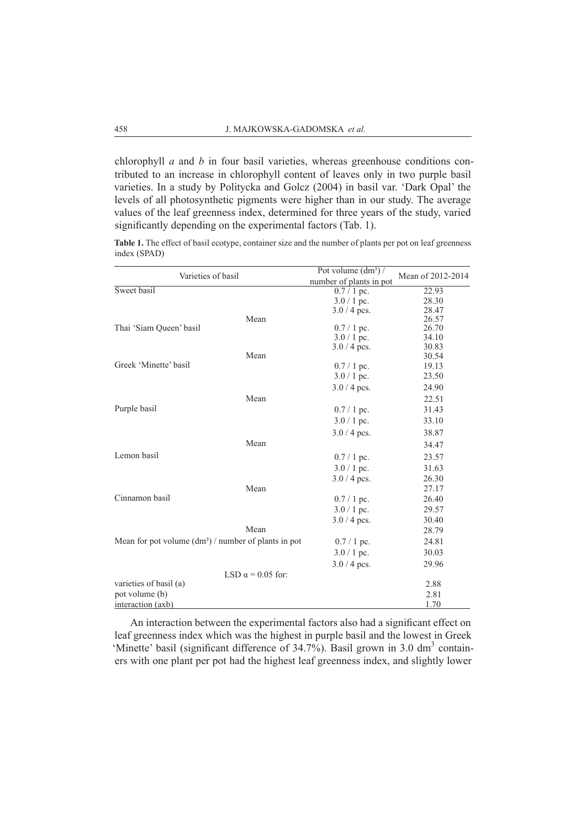chlorophyll *a* and *b* in four basil varieties, whereas greenhouse conditions contributed to an increase in chlorophyll content of leaves only in two purple basil varieties. In a study by Politycka and Golcz (2004) in basil var. 'Dark Opal' the levels of all photosynthetic pigments were higher than in our study. The average values of the leaf greenness index, determined for three years of the study, varied significantly depending on the experimental factors (Tab. 1).

Table 1. The effect of basil ecotype, container size and the number of plants per pot on leaf greenness index (SPAD)

| Varieties of basil<br>Sweet basil                     |                          | Pot volume $(dm^3)$             | Mean of 2012-2014 |  |
|-------------------------------------------------------|--------------------------|---------------------------------|-------------------|--|
|                                                       |                          | number of plants in pot         |                   |  |
|                                                       |                          | $0.7/1$ pc.                     | 22.93             |  |
|                                                       |                          | $3.0 / 1$ pc.                   | 28.30             |  |
|                                                       |                          | $3.0 / 4$ pcs.                  | 28.47             |  |
|                                                       | Mean                     |                                 | 26.57             |  |
| Thai 'Siam Queen' basil                               |                          | $0.7/1$ pc.                     | 26.70<br>34.10    |  |
|                                                       |                          | $3.0 / 1$ pc.<br>$3.0 / 4$ pcs. | 30.83             |  |
|                                                       | Mean                     |                                 | 30.54             |  |
| Greek 'Minette' basil                                 |                          | $0.7 / 1$ pc.                   | 19.13             |  |
|                                                       |                          | $3.0/1$ pc.                     | 23.50             |  |
|                                                       |                          | $3.0 / 4$ pcs.                  | 24.90             |  |
|                                                       | Mean                     |                                 | 22.51             |  |
| Purple basil                                          |                          | $0.7/1$ pc.                     | 31.43             |  |
|                                                       |                          | $3.0 / 1$ pc.                   | 33.10             |  |
|                                                       |                          | $3.0 / 4$ pcs.                  | 38.87             |  |
|                                                       | Mean                     |                                 | 34.47             |  |
| Lemon basil                                           |                          | $0.7/1$ pc.                     | 23.57             |  |
|                                                       |                          | $3.0 / 1$ pc.                   | 31.63             |  |
|                                                       |                          | $3.0 / 4$ pcs.                  | 26.30             |  |
|                                                       | Mean                     |                                 | 27.17             |  |
| Cinnamon basil                                        |                          | $0.7/1$ pc.                     | 26.40             |  |
|                                                       |                          | $3.0/1$ pc.                     | 29.57             |  |
|                                                       |                          | $3.0 / 4$ pcs.                  | 30.40             |  |
|                                                       | Mean                     |                                 | 28.79             |  |
| Mean for pot volume $(dm3)$ / number of plants in pot |                          | $0.7/1$ pc.                     | 24.81             |  |
|                                                       |                          | $3.0/1$ pc.                     | 30.03             |  |
|                                                       |                          | $3.0 / 4$ pcs.                  | 29.96             |  |
|                                                       | LSD $\alpha$ = 0.05 for: |                                 |                   |  |
| varieties of basil (a)                                |                          |                                 | 2.88              |  |
| pot volume (b)                                        |                          |                                 | 2.81              |  |
| interaction (axb)                                     |                          |                                 | 1.70              |  |

An interaction between the experimental factors also had a significant effect on leaf greenness index which was the highest in purple basil and the lowest in Greek 'Minette' basil (significant difference of 34.7%). Basil grown in 3.0 dm<sup>3</sup> containers with one plant per pot had the highest leaf greenness index, and slightly lower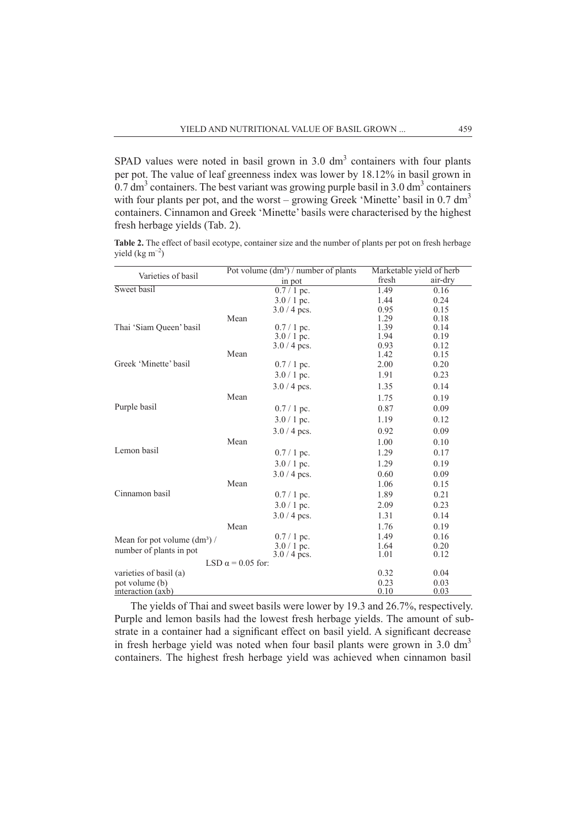SPAD values were noted in basil grown in  $3.0 \text{ dm}^3$  containers with four plants per pot. The value of leaf greenness index was lower by 18.12% in basil grown in 0.7 dm<sup>3</sup> containers. The best variant was growing purple basil in 3.0 dm<sup>3</sup> containers with four plants per pot, and the worst – growing Greek 'Minette' basil in  $0.7 \text{ dm}^3$ containers. Cinnamon and Greek 'Minette' basils were characterised by the highest fresh herbage yields (Tab. 2).

|                            | Table 2. The effect of basil ecotype, container size and the number of plants per pot on fresh herbage |  |  |  |  |  |
|----------------------------|--------------------------------------------------------------------------------------------------------|--|--|--|--|--|
| yield $(\text{kg m}^{-2})$ |                                                                                                        |  |  |  |  |  |

| Varieties of basil                  | Pot volume $(dm^3)$ / number of plants |              | Marketable yield of herb |  |  |
|-------------------------------------|----------------------------------------|--------------|--------------------------|--|--|
|                                     | in pot                                 | fresh        | air-dry                  |  |  |
| Sweet basil                         | $0.7/1$ pc.                            | 1.49         | 0.16                     |  |  |
|                                     | $3.0/1$ pc.                            | 1.44         | 0.24                     |  |  |
|                                     | $3.0 / 4$ pcs.                         | 0.95         | 0.15                     |  |  |
|                                     | Mean                                   | 1.29         | 0.18                     |  |  |
| Thai 'Siam Queen' basil             | $0.7/1$ pc.                            | 1.39         | 0.14                     |  |  |
|                                     | $3.0 / 1$ pc.                          | 1.94         | 0.19                     |  |  |
|                                     | $3.0 / 4$ pcs.<br>Mean                 | 0.93<br>1.42 | 0.12                     |  |  |
| Greek 'Minette' basil               |                                        | 2.00         | 0.15<br>0.20             |  |  |
|                                     | $0.7/1$ pc.                            |              |                          |  |  |
|                                     | $3.0 / 1$ pc.                          | 1.91         | 0.23                     |  |  |
|                                     | $3.0 / 4$ pcs.                         | 1.35         | 0.14                     |  |  |
|                                     | Mean                                   | 1.75         | 0.19                     |  |  |
| Purple basil                        | $0.7/1$ pc.                            | 0.87         | 0.09                     |  |  |
|                                     | $3.0/1$ pc.                            | 1.19         | 0.12                     |  |  |
|                                     | $3.0 / 4$ pcs.                         | 0.92         | 0.09                     |  |  |
|                                     | Mean                                   | 1.00         | 0.10                     |  |  |
| Lemon basil                         | $0.7/1$ pc.                            | 1.29         | 0.17                     |  |  |
|                                     | $3.0/1$ pc.                            | 1.29         | 0.19                     |  |  |
|                                     | $3.0 / 4$ pcs.                         | 0.60         | 0.09                     |  |  |
|                                     | Mean                                   | 1.06         | 0.15                     |  |  |
| Cinnamon basil                      | $0.7/1$ pc.                            | 1.89         | 0.21                     |  |  |
|                                     | $3.0/1$ pc.                            | 2.09         | 0.23                     |  |  |
|                                     | $3.0 / 4$ pcs.                         | 1.31         | 0.14                     |  |  |
|                                     | Mean                                   | 1.76         | 0.19                     |  |  |
| Mean for pot volume $(dm^3)$ /      | $0.7/1$ pc.                            | 1.49         | 0.16                     |  |  |
|                                     | $3.0/1$ pc.                            | 1.64         | 0.20                     |  |  |
| number of plants in pot             | $3.0 / 4$ pcs.                         | 1.01         | 0.12                     |  |  |
|                                     | LSD $\alpha$ = 0.05 for:               |              |                          |  |  |
| varieties of basil (a)              |                                        | 0.32         | 0.04                     |  |  |
| pot volume (b)<br>interaction (axb) |                                        | 0.23<br>0.10 | 0.03<br>0.03             |  |  |

The yields of Thai and sweet basils were lower by 19.3 and 26.7%, respectively. Purple and lemon basils had the lowest fresh herbage yields. The amount of substrate in a container had a significant effect on basil yield. A significant decrease in fresh herbage yield was noted when four basil plants were grown in 3.0  $\text{dm}^3$ containers. The highest fresh herbage yield was achieved when cinnamon basil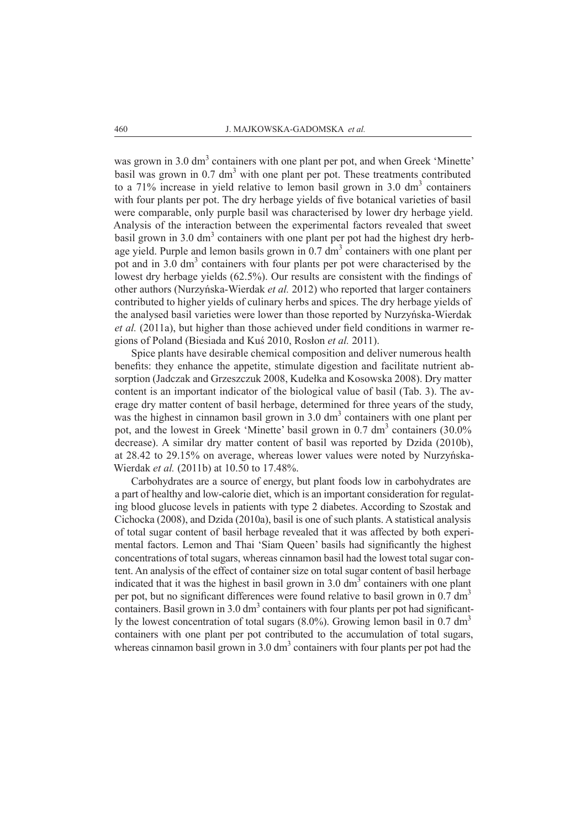was grown in 3.0 dm<sup>3</sup> containers with one plant per pot, and when Greek 'Minette' basil was grown in  $0.7 \text{ dm}^3$  with one plant per pot. These treatments contributed to a 71% increase in yield relative to lemon basil grown in 3.0  $\text{dm}^3$  containers with four plants per pot. The dry herbage yields of five botanical varieties of basil were comparable, only purple basil was characterised by lower dry herbage yield. Analysis of the interaction between the experimental factors revealed that sweet basil grown in 3.0  $\text{dm}^3$  containers with one plant per pot had the highest dry herbage yield. Purple and lemon basils grown in  $0.7 \text{ dm}^3$  containers with one plant per pot and in 3.0 dm<sup>3</sup> containers with four plants per pot were characterised by the lowest dry herbage yields (62.5%). Our results are consistent with the findings of other authors (Nurzyńska-Wierdak *et al.* 2012) who reported that larger containers contributed to higher yields of culinary herbs and spices. The dry herbage yields of the analysed basil varieties were lower than those reported by Nurzyńska-Wierdak *et al.* (2011a), but higher than those achieved under field conditions in warmer regions of Poland (Biesiada and Kuś 2010, Rosłon *et al.* 2011).

Spice plants have desirable chemical composition and deliver numerous health benefits: they enhance the appetite, stimulate digestion and facilitate nutrient absorption (Jadczak and Grzeszczuk 2008, Kudełka and Kosowska 2008). Dry matter content is an important indicator of the biological value of basil (Tab. 3). The average dry matter content of basil herbage, determined for three years of the study, was the highest in cinnamon basil grown in 3.0 dm<sup>3</sup> containers with one plant per pot, and the lowest in Greek 'Minette' basil grown in 0.7 dm<sup>3</sup> containers (30.0% decrease). A similar dry matter content of basil was reported by Dzida (2010b), at 28.42 to 29.15% on average, whereas lower values were noted by Nurzyńska-Wierdak *et al.* (2011b) at 10.50 to 17.48%.

Carbohydrates are a source of energy, but plant foods low in carbohydrates are a part of healthy and low-calorie diet, which is an important consideration for regulating blood glucose levels in patients with type 2 diabetes. According to Szostak and Cichocka (2008), and Dzida (2010a), basil is one of such plants. A statistical analysis of total sugar content of basil herbage revealed that it was affected by both experimental factors. Lemon and Thai 'Siam Queen' basils had significantly the highest concentrations of total sugars, whereas cinnamon basil had the lowest total sugar content. An analysis of the effect of container size on total sugar content of basil herbage indicated that it was the highest in basil grown in  $3.0 \text{ dm}^3$  containers with one plant per pot, but no significant differences were found relative to basil grown in  $0.7 \text{ dm}^3$ containers. Basil grown in  $3.0 \text{ dm}^3$  containers with four plants per pot had significantly the lowest concentration of total sugars  $(8.0\%)$ . Growing lemon basil in 0.7 dm<sup>3</sup> containers with one plant per pot contributed to the accumulation of total sugars, whereas cinnamon basil grown in  $3.0 \text{ dm}^3$  containers with four plants per pot had the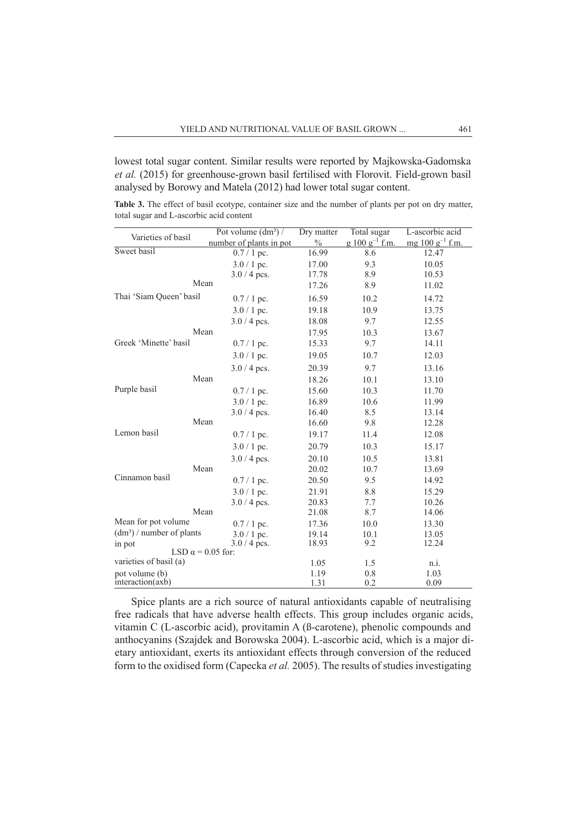lowest total sugar content. Similar results were reported by Majkowska-Gadomska *et al.* (2015) for greenhouse-grown basil fertilised with Florovit. Field-grown basil analysed by Borowy and Matela (2012) had lower total sugar content.

**Table 3.** The effect of basil ecotype, container size and the number of plants per pot on dry matter, total sugar and L-ascorbic acid content

| Varieties of basil                                   | Pot volume $(dm^3)$ /   | Dry matter    | Total sugar         | L-ascorbic acid              |  |
|------------------------------------------------------|-------------------------|---------------|---------------------|------------------------------|--|
|                                                      | number of plants in pot | $\frac{0}{0}$ | $g 100 g^{-1}$ f.m. | mg $100 \text{ g}^{-1}$ f.m. |  |
| Sweet basil                                          | $0.7/1$ pc.             | 16.99         | 8.6                 | 12.47                        |  |
|                                                      | $3.0 / 1$ pc.           | 17.00         | 9.3                 | 10.05                        |  |
|                                                      | $3.0 / 4$ pcs.          | 17.78         | 8.9                 | 10.53                        |  |
|                                                      | Mean                    | 17.26         | 8.9                 | 11.02                        |  |
| Thai 'Siam Queen' basil                              | $0.7/1$ pc.             | 16.59         | 10.2                | 14.72                        |  |
|                                                      | $3.0/1$ pc.             | 19.18         | 10.9                | 13.75                        |  |
|                                                      | $3.0 / 4$ pcs.          | 18.08         | 9.7                 | 12.55                        |  |
|                                                      | Mean                    | 17.95         | 10.3                | 13.67                        |  |
| Greek 'Minette' basil                                | $0.7/1$ pc.             | 15.33         | 9.7                 | 14.11                        |  |
|                                                      | $3.0/1$ pc.             | 19.05         | 10.7                | 12.03                        |  |
|                                                      | $3.0 / 4$ pcs.          | 20.39         | 9.7                 | 13.16                        |  |
|                                                      | Mean                    | 18.26         | 10.1                | 13.10                        |  |
| Purple basil                                         | $0.7/1$ pc.             | 15.60         | 10.3                | 11.70                        |  |
|                                                      | $3.0/1$ pc.             | 16.89         | 10.6                | 11.99                        |  |
|                                                      | $3.0 / 4$ pcs.          | 16.40         | 8.5                 | 13.14                        |  |
|                                                      | Mean                    | 16.60         | 9.8                 | 12.28                        |  |
| Lemon basil                                          | $0.7/1$ pc.             | 19.17         | 11.4                | 12.08                        |  |
|                                                      | $3.0/1$ pc.             | 20.79         | 10.3                | 15.17                        |  |
|                                                      | $3.0 / 4$ pcs.          | 20.10         | 10.5                | 13.81                        |  |
|                                                      | Mean                    | 20.02         | 10.7                | 13.69                        |  |
| Cinnamon basil                                       | $0.7/1$ pc.             | 20.50         | 9.5                 | 14.92                        |  |
|                                                      | $3.0 / 1$ pc.           | 21.91         | 8.8                 | 15.29                        |  |
|                                                      | $3.0 / 4$ pcs.          | 20.83         | 7.7                 | 10.26                        |  |
|                                                      | Mean                    | 21.08         | 8.7                 | 14.06                        |  |
| Mean for pot volume                                  | $0.7/1$ pc.             | 17.36         | 10.0                | 13.30                        |  |
| $(dm3)$ / number of plants                           | $3.0/1$ pc.             | 19.14         | 10.1                | 13.05                        |  |
| in pot<br>$3.0 / 4$ pcs.<br>LSD $\alpha$ = 0.05 for: |                         | 18.93         | 9.2                 | 12.24                        |  |
|                                                      |                         |               |                     |                              |  |
| varieties of basil (a)                               |                         | 1.05          | 1.5                 | n.i.                         |  |
| pot volume (b)<br>interaction(axb)                   |                         | 1.19          | 0.8                 | 1.03                         |  |
|                                                      |                         | 1.31          | 0.2                 | 0.09                         |  |

Spice plants are a rich source of natural antioxidants capable of neutralising free radicals that have adverse health effects. This group includes organic acids, vitamin C (L-ascorbic acid), provitamin A (ß-carotene), phenolic compounds and anthocyanins (Szajdek and Borowska 2004). L-ascorbic acid, which is a major dietary antioxidant, exerts its antioxidant effects through conversion of the reduced form to the oxidised form (Capecka *et al.* 2005). The results of studies investigating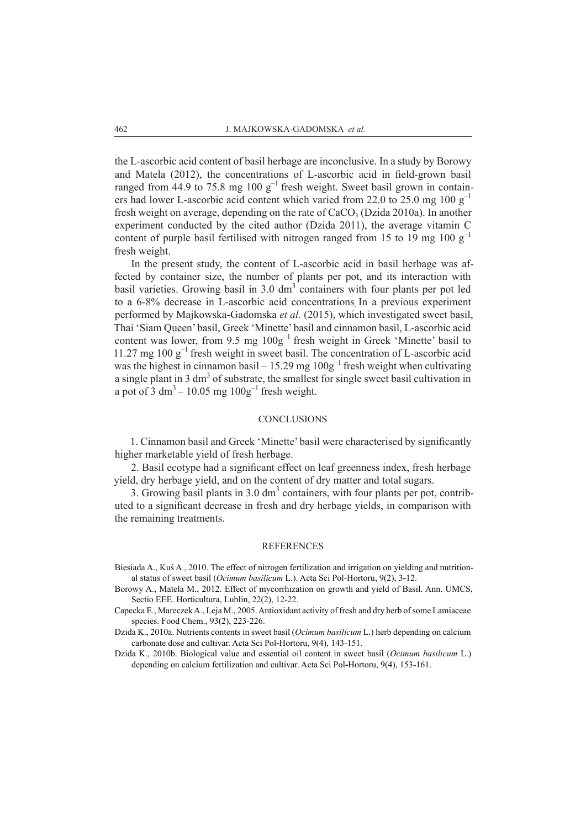the L-ascorbic acid content of basil herbage are inconclusive. In a study by Borowy and Matela (2012), the concentrations of L-ascorbic acid in field-grown basil ranged from 44.9 to 75.8 mg 100  $g^{-1}$  fresh weight. Sweet basil grown in containers had lower L-ascorbic acid content which varied from 22.0 to 25.0 mg 100  $g^{-1}$ fresh weight on average, depending on the rate of  $CaCO<sub>3</sub>$  (Dzida 2010a). In another experiment conducted by the cited author (Dzida 2011), the average vitamin C content of purple basil fertilised with nitrogen ranged from 15 to 19 mg 100  $g^$ fresh weight.

In the present study, the content of L-ascorbic acid in basil herbage was affected by container size, the number of plants per pot, and its interaction with basil varieties. Growing basil in  $3.0 \text{ dm}^3$  containers with four plants per pot led to a 6-8% decrease in L-ascorbic acid concentrations. In a previous experiment performed by Majkowska-Gadomska *et al.* (2015), which investigated sweet basil, Thai 'Siam Queen' basil, Greek 'Minette' basil and cinnamon basil, L-ascorbic acid content was lower, from  $9.5 \text{ mg } 100 \text{g}^{-1}$  fresh weight in Greek 'Minette' basil to 11.27 mg 100  $g^{-1}$  fresh weight in sweet basil. The concentration of L-ascorbic acid was the highest in cinnamon basil – 15.29 mg  $100g^{-1}$  fresh weight when cultivating a single plant in 3 dm<sup>3</sup> of substrate, the smallest for single sweet basil cultivation in a pot of 3 dm<sup>3</sup> – 10.05 mg  $100g^{-1}$  fresh weight.

#### **CONCLUSIONS**

1. Cinnamon basil and Greek 'Minette' basil were characterised by significantly higher marketable yield of fresh herbage.

2. Basil ecotype had a significant effect on leaf greenness index, fresh herbage yield, dry herbage yield, and on the content of dry matter and total sugars.

3. Growing basil plants in  $3.0 \text{ dm}^3$  containers, with four plants per pot, contributed to a significant decrease in fresh and dry herbage yields, in comparison with the remaining treatments.

#### **REFERENCES**

- Biesiada A., Kuś A., 2010. The effect of nitrogen fertilization and irrigation on yielding and nutritional status of sweet basil (*Ocimum basilicum* L.). Acta Sci Pol-Hortoru, 9(2), 3**-**12.
- Borowy A., Matela M., 2012. Effect of mycorrhization on growth and yield of Basil. Ann. UMCS, Sectio EEE. Horticultura, Lublin, 22(2), 12-22.
- Capecka E., Mareczek A., Leja M., 2005. Antioxidant activity of fresh and dry herb of some Lamiaceae species. Food Chem., 93(2), 223-226.
- Dzida K., 2010a. Nutrients contents in sweet basil (*Ocimum basilicum* L.) herb depending on calcium carbonate dose and cultivar. Acta Sci Pol**-**Hortoru, 9(4), 143-151.
- Dzida K., 2010b. Biological value and essential oil content in sweet basil (*Ocimum basilicum* L.) depending on calcium fertilization and cultivar. Acta Sci Pol**-**Hortoru, 9(4), 153-161.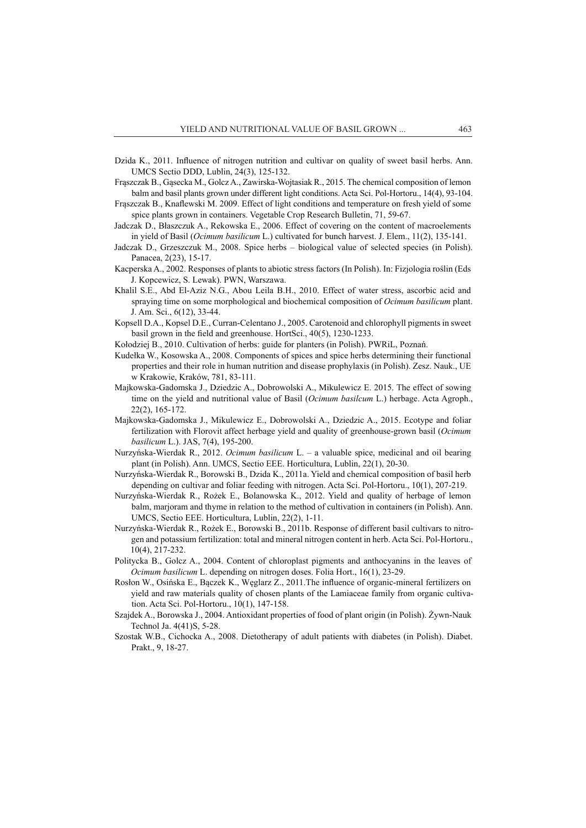- Dzida K., 2011. Influence of nitrogen nutrition and cultivar on quality of sweet basil herbs. Ann. UMCS Sectio DDD, Lublin, 24(3), 125-132.
- Frąszczak B., Gąsecka M., Golcz A., Zawirska-Wojtasiak R., 2015. The chemical composition of lemon balm and basil plants grown under different light conditions. Acta Sci. Pol-Hortoru., 14(4), 93-104.
- Frąszczak B., Knaflewski M. 2009. Effect of light conditions and temperature on fresh yield of some spice plants grown in containers. Vegetable Crop Research Bulletin, 71, 59-67.
- Jadczak D., Błaszczuk A., Rekowska E., 2006. Effect of covering on the content of macroelements in yield of Basil (*Ocimum basilicum* L.) cultivated for bunch harvest. J. Elem., 11(2), 135-141.
- Jadczak D., Grzeszczuk M., 2008. Spice herbs biological value of selected species (in Polish). Panacea, 2(23), 15-17.
- Kacperska A., 2002. Responses of plants to abiotic stress factors (In Polish). In: Fizjologia roślin (Eds J. Kopcewicz, S. Lewak). PWN, Warszawa.
- Khalil S.E., Abd El-Aziz N.G., Abou Leila B.H., 2010. Effect of water stress, ascorbic acid and spraying time on some morphological and biochemical composition of *Ocimum basilicum* plant. J. Am. Sci., 6(12), 33-44.
- Kopsell D.A., Kopsel D.E., Curran-Celentano J., 2005. Carotenoid and chlorophyll pigments in sweet basil grown in the field and greenhouse. HortSci., 40(5), 1230-1233.
- Kołodziej B., 2010. Cultivation of herbs: guide for planters (in Polish). PWRiL, Poznań.
- Kudełka W., Kosowska A., 2008. Components of spices and spice herbs determining their functional properties and their role in human nutrition and disease prophylaxis (in Polish). Zesz. Nauk., UE w Krakowie, Kraków, 781, 83-111.
- Majkowska-Gadomska J., Dziedzic A., Dobrowolski A., Mikulewicz E. 2015. The effect of sowing time on the yield and nutritional value of Basil (*Ocimum basilcum* L.) herbage. Acta Agroph., 22(2), 165-172.
- Majkowska-Gadomska J., Mikulewicz E., Dobrowolski A., Dziedzic A., 2015. Ecotype and foliar fertilization with Florovit affect herbage yield and quality of greenhouse-grown basil (*Ocimum basilicum* L.). JAS, 7(4), 195-200.
- Nurzyńska-Wierdak R., 2012. *Ocimum basilicum* L. a valuable spice, medicinal and oil bearing plant (in Polish). Ann. UMCS, Sectio EEE. Horticultura, Lublin, 22(1), 20-30.
- Nurzyńska-Wierdak R., Borowski B., Dzida K., 2011a. Yield and chemical composition of basil herb depending on cultivar and foliar feeding with nitrogen. Acta Sci. Pol-Hortoru., 10(1), 207-219.
- Nurzyńska-Wierdak R., Rożek E., Bolanowska K., 2012. Yield and quality of herbage of lemon balm, marjoram and thyme in relation to the method of cultivation in containers (in Polish). Ann. UMCS, Sectio EEE. Horticultura, Lublin, 22(2), 1-11.
- Nurzyńska-Wierdak R., Rożek E., Borowski B., 2011b. Response of different basil cultivars to nitrogen and potassium fertilization: total and mineral nitrogen content in herb. Acta Sci. Pol-Hortoru., 10(4), 217-232.
- Politycka B., Golcz A., 2004. Content of chloroplast pigments and anthocyanins in the leaves of *Ocimum basilicum* L. depending on nitrogen doses. Folia Hort., 16(1), 23-29.
- Rosłon W., Osińska E., Bączek K., Węglarz Z., 2011.The influence of organic-mineral fertilizers on yield and raw materials quality of chosen plants of the Lamiaceae family from organic cultivation. Acta Sci. Pol-Hortoru., 10(1), 147-158.
- Szajdek A., Borowska J., 2004. Antioxidant properties of food of plant origin (in Polish). Żywn-Nauk Technol Ja. 4(41)S, 5-28.
- Szostak W.B., Cichocka A., 2008. Dietotherapy of adult patients with diabetes (in Polish). Diabet. Prakt., 9, 18-27.